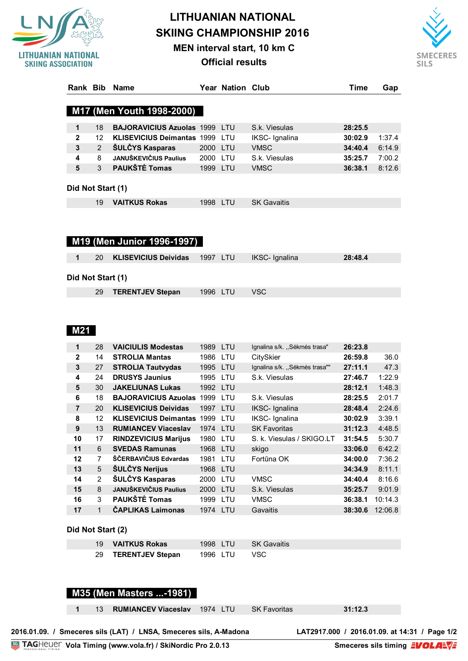

# **LITHUANIAN NATIONAL SKIING CHAMPIONSHIP 2016**

**MEN interval start, 10 km C**

**Official results**



| Rank Bib          |                | <b>Name</b>                       |          | Year Nation Club |                       | Time    | Gap    |
|-------------------|----------------|-----------------------------------|----------|------------------|-----------------------|---------|--------|
|                   |                |                                   |          |                  |                       |         |        |
|                   |                | M17 (Men Youth 1998-2000)         |          |                  |                       |         |        |
|                   |                |                                   |          |                  |                       |         |        |
| $\mathbf 1$       | 18             | <b>BAJORAVICIUS Azuolas 1999</b>  |          | <b>LTU</b>       | S.k. Viesulas         | 28:25.5 |        |
| $\mathbf{2}$      | 12             | <b>KLISEVICIUS Deimantas 1999</b> |          | LTU              | IKSC- Ignalina        | 30:02.9 | 1:37.4 |
| 3                 | $\overline{2}$ | <b>SULCYS Kasparas</b>            | 2000     | <b>LTU</b>       | <b>VMSC</b>           | 34:40.4 | 6:14.9 |
| 4                 | 8              | <b>JANUŠKEVIČIUS Paulius</b>      | 2000     | LTU              | S.k. Viesulas         | 35:25.7 | 7:00.2 |
| 5                 | $\mathcal{S}$  | <b>PAUKŠTĖ Tomas</b>              | 1999     | <b>LTU</b>       | <b>VMSC</b>           | 36:38.1 | 8:12.6 |
|                   |                |                                   |          |                  |                       |         |        |
| Did Not Start (1) |                |                                   |          |                  |                       |         |        |
|                   | 19             | <b>VAITKUS Rokas</b>              | 1998 LTU |                  | <b>SK Gavaitis</b>    |         |        |
|                   |                |                                   |          |                  |                       |         |        |
|                   |                |                                   |          |                  |                       |         |        |
|                   |                |                                   |          |                  |                       |         |        |
|                   |                | M19 (Men Junior 1996-1997)        |          |                  |                       |         |        |
|                   |                |                                   |          |                  |                       |         |        |
| 1                 | 20             | <b>KLISEVICIUS Deividas</b>       | 1997     | <b>LTU</b>       | <b>IKSC-</b> Ignalina | 28:48.4 |        |

**Did Not Start (1)**

| 29 <b>TERENTJEV Stepan</b> | 1996 LTU | ⊟ VSC |  |
|----------------------------|----------|-------|--|
|                            |          |       |  |

## **M21**

| 1  | 28             | <b>VAICIULIS Modestas</b>    | 1989 LTU |            | Ignalina s/k. "Sėkmės trasa"  | 26:23.8 |         |
|----|----------------|------------------------------|----------|------------|-------------------------------|---------|---------|
| 2  | 14             | <b>STROLIA Mantas</b>        | 1986     | LTU        | CitySkier                     | 26:59.8 | 36.0    |
| 3  | 27             | <b>STROLIA Tautvydas</b>     | 1995     | <b>LTU</b> | Ignalina s/k. "Sėkmės trasa"" | 27:11.1 | 47.3    |
| 4  | 24             | <b>DRUSYS Jaunius</b>        | 1995     | LTU        | S.k. Viesulas                 | 27:46.7 | 1:22.9  |
| 5  | 30             | <b>JAKELIUNAS Lukas</b>      | 1992 LTU |            |                               | 28:12.1 | 1:48.3  |
| 6  | 18             | <b>BAJORAVICIUS Azuolas</b>  | 1999     | LTU        | S.k. Viesulas                 | 28:25.5 | 2:01.7  |
| 7  | 20             | <b>KLISEVICIUS Deividas</b>  | 1997     | LTU        | IKSC- Ignalina                | 28:48.4 | 2:24.6  |
| 8  | 12             | <b>KLISEVICIUS Deimantas</b> | 1999     | LTU        | IKSC- Ignalina                | 30:02.9 | 3:39.1  |
| 9  | 13             | <b>RUMIANCEV Viaceslav</b>   | 1974 LTU |            | <b>SK Favoritas</b>           | 31:12.3 | 4:48.5  |
| 10 | 17             | <b>RINDZEVICIUS Marijus</b>  | 1980     | LTU        | S. k. Viesulas / SKIGO.LT     | 31:54.5 | 5:30.7  |
| 11 | 6              | <b>SVEDAS Ramunas</b>        | 1968     | LTU        | skigo                         | 33:06.0 | 6:42.2  |
| 12 | 7              | ŠČERBAVIČIUS Edvardas        | 1981     | LTU        | Fortūna OK                    | 34:00.0 | 7:36.2  |
| 13 | 5              | <b>ŠULČYS Nerijus</b>        | 1968 LTU |            |                               | 34:34.9 | 8:11.1  |
| 14 | $\overline{2}$ | ŠULČYS Kasparas              | 2000     | LTU        | <b>VMSC</b>                   | 34:40.4 | 8:16.6  |
| 15 | 8              | <b>JANUŠKEVIČIUS Paulius</b> | 2000     | <b>LTU</b> | S.k. Viesulas                 | 35:25.7 | 9:01.9  |
| 16 | 3              | PAUKŠTĖ Tomas                | 1999     | LTU        | <b>VMSC</b>                   | 36:38.1 | 10:14.3 |
| 17 | 1              | <b>CAPLIKAS Laimonas</b>     | 1974     | LTU        | Gavaitis                      | 38:30.6 | 12:06.8 |

#### **Did Not Start (2)**

| 19 <b>VAITKUS Rokas</b> | 1998 LTU | – SK Gavaitis |
|-------------------------|----------|---------------|
| 29 TERENTJEV Stepan     | 1996 LTU | VSC.          |

#### **M35 (Men Masters ...-1981)**

13 **RUMIANCEV Viaceslav** 1974 LTU SK Favoritas **31:12.3**

2016.01.09. / Smeceres sils (LAT) / LNSA, Smeceres sils, A-Madona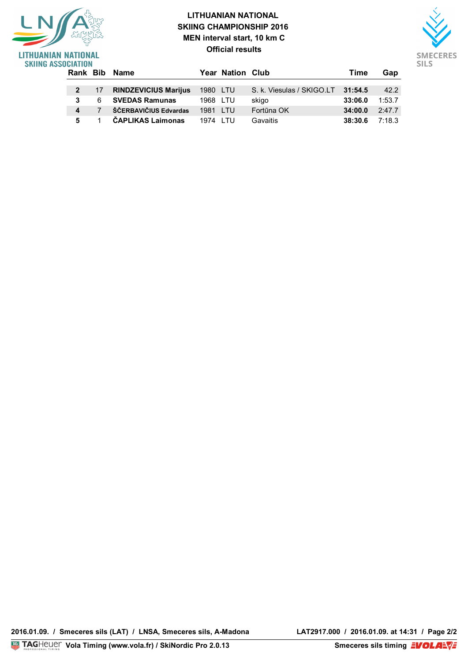### **LITHUANIAN NATIONAL SKIING CHAMPIONSHIP 2016 MEN interval start, 10 km C Official results**

**5** 1 **ČAPLIKAS Laimonas** 1974 LTU Gavaitis **38:30.6** 7:18.3



| LITHUANIAN NATIONAL<br><b>SKIING ASSOCIATION</b> |        |                             |          | <b>Official results</b> |                                   |         |        |
|--------------------------------------------------|--------|-----------------------------|----------|-------------------------|-----------------------------------|---------|--------|
|                                                  |        | Rank Bib Name               |          | <b>Year Nation Club</b> |                                   | Time    | Gap    |
|                                                  | $-17-$ | <b>RINDZEVICIUS Marijus</b> | 1980 LTU |                         | S. k. Viesulas / SKIGO.LT 31:54.5 |         | 42.2   |
|                                                  | 6      | <b>SVEDAS Ramunas</b>       | 1968 LTU |                         | skigo                             | 33:06.0 | 1:53.7 |
|                                                  |        | ŠČERBAVIČIUS Edvardas       | 1981 LTU |                         | Fortūna OK                        | 34:00.0 | 2:47.7 |